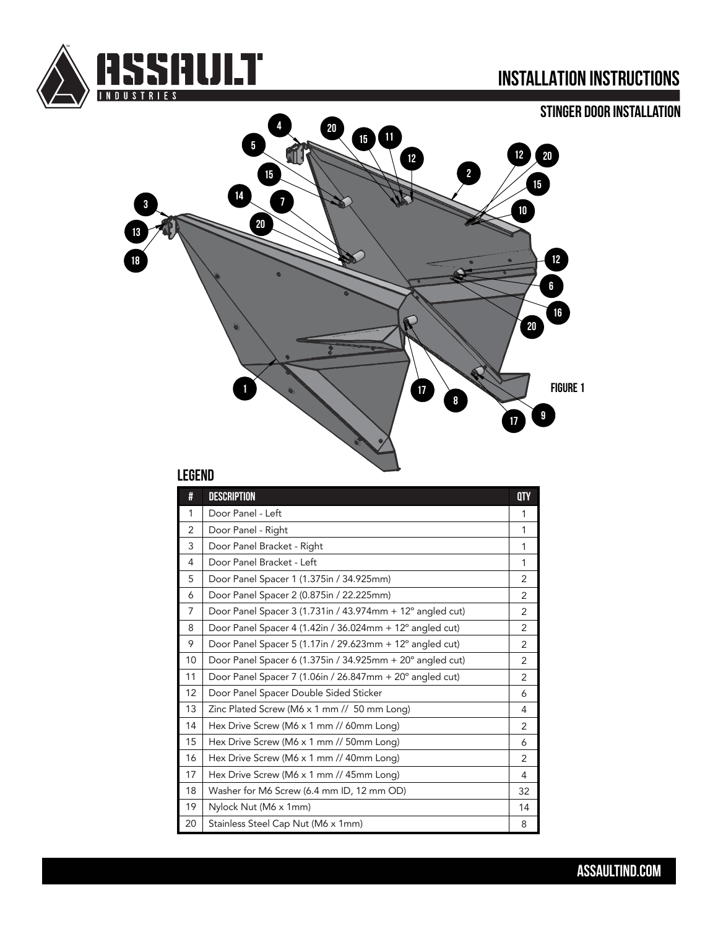

## **INSTALLATION INSTRUCTIONS**





### **LEGEND**

| #              | <b>DESCRIPTION</b>                                                    | <b>QTY</b>     |
|----------------|-----------------------------------------------------------------------|----------------|
| 1              | Door Panel - Left                                                     | 1              |
| $\overline{2}$ | Door Panel - Right                                                    | 1              |
| 3              | Door Panel Bracket - Right                                            | 1              |
| 4              | Door Panel Bracket - Left                                             | 1              |
| 5              | Door Panel Spacer 1 (1.375in / 34.925mm)                              | $\overline{2}$ |
| 6              | Door Panel Spacer 2 (0.875in / 22.225mm)                              | $\overline{2}$ |
| $\overline{7}$ | Door Panel Spacer 3 (1.731in / 43.974mm + 12° angled cut)             | $\overline{2}$ |
| 8              | Door Panel Spacer 4 (1.42in / 36.024mm + 12° angled cut)              | $\overline{2}$ |
| 9              | Door Panel Spacer 5 (1.17in / 29.623mm + $12^{\circ}$ angled cut)     | 2              |
| 10             | Door Panel Spacer 6 (1.375in / 34.925mm $+$ 20 $^{\circ}$ angled cut) | 2              |
| 11             | Door Panel Spacer 7 (1.06in / 26.847mm + 20° angled cut)              | 2              |
| 12             | Door Panel Spacer Double Sided Sticker                                | 6              |
| 13             | Zinc Plated Screw (M6 x 1 mm // 50 mm Long)                           | 4              |
| 14             | Hex Drive Screw (M6 x 1 mm // 60mm Long)                              | $\overline{2}$ |
| 15             | Hex Drive Screw (M6 x 1 mm // 50mm Long)                              | 6              |
| 16             | Hex Drive Screw (M6 x 1 mm // 40mm Long)                              | $\overline{2}$ |
| 17             | Hex Drive Screw (M6 x 1 mm // 45mm Long)                              | 4              |
| 18             | Washer for M6 Screw (6.4 mm ID, 12 mm OD)                             | 32             |
| 19             | Nylock Nut (M6 x 1mm)                                                 | 14             |
| 20             | Stainless Steel Cap Nut (M6 x 1mm)                                    | 8              |